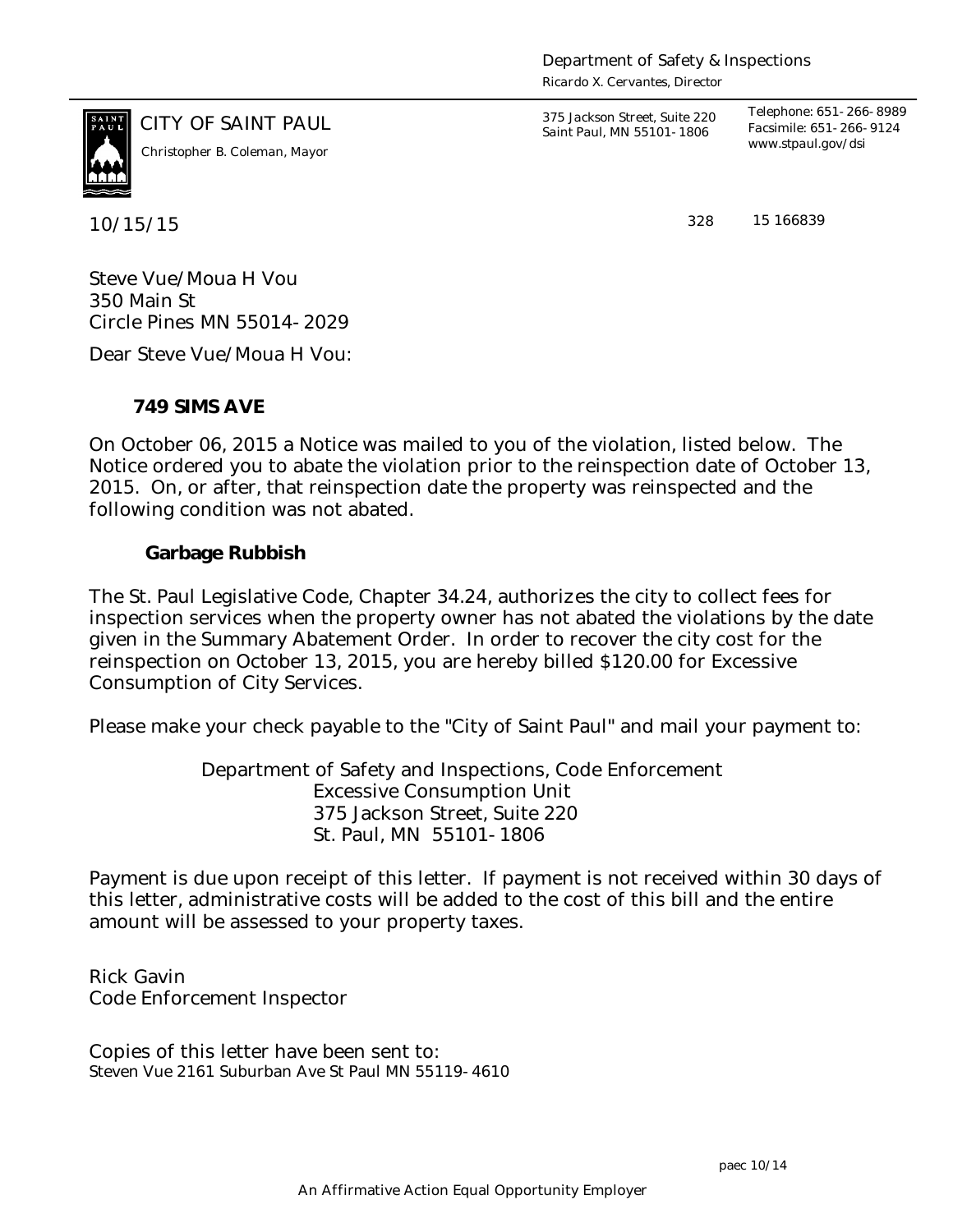*Ricardo X. Cervantes, Director*



CITY OF SAINT PAUL *375 Jackson Street, Suite 220 Saint Paul, MN 55101-1806 Telephone: 651-266-8989 Facsimile: 651-266-9124 www.stpaul.gov/dsi Christopher B. Coleman, Mayor*

10/15/15 328

15 166839

Steve Vue/Moua H Vou 350 Main St Circle Pines MN 55014-2029

Dear Steve Vue/Moua H Vou:

**749 SIMS AVE**

On October 06, 2015 a Notice was mailed to you of the violation, listed below. The Notice ordered you to abate the violation prior to the reinspection date of October 13, 2015. On, or after, that reinspection date the property was reinspected and the following condition was not abated.

**Garbage Rubbish**

The St. Paul Legislative Code, Chapter 34.24, authorizes the city to collect fees for inspection services when the property owner has not abated the violations by the date given in the Summary Abatement Order. In order to recover the city cost for the reinspection on October 13, 2015, you are hereby billed \$120.00 for Excessive Consumption of City Services.

Please make your check payable to the "City of Saint Paul" and mail your payment to:

Department of Safety and Inspections, Code Enforcement Excessive Consumption Unit 375 Jackson Street, Suite 220 St. Paul, MN 55101-1806

Payment is due upon receipt of this letter. If payment is not received within 30 days of this letter, administrative costs will be added to the cost of this bill and the entire amount will be assessed to your property taxes.

Rick Gavin Code Enforcement Inspector

Copies of this letter have been sent to: Steven Vue 2161 Suburban Ave St Paul MN 55119-4610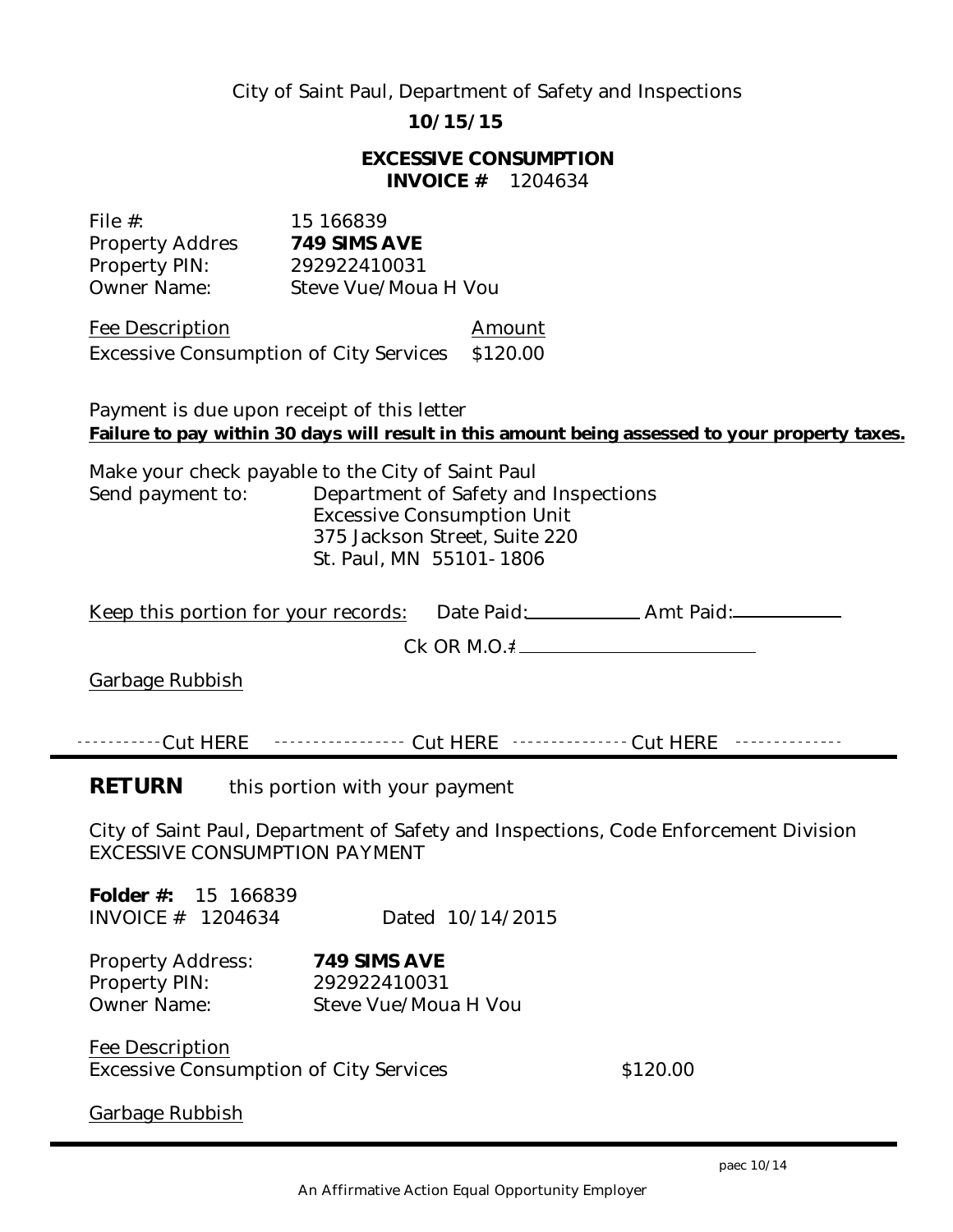## City of Saint Paul, Department of Safety and Inspections

**10/15/15**

**EXCESSIVE CONSUMPTION INVOICE #** 1204634

| File $#$ :             | 15 166839            |
|------------------------|----------------------|
| <b>Property Addres</b> | 749 SIMS AVE         |
| Property PIN:          | 292922410031         |
| <b>Owner Name:</b>     | Steve Vue/Moua H Vou |

Fee Description and Amount Excessive Consumption of City Services \$120.00

Payment is due upon receipt of this letter **Failure to pay within 30 days will result in this amount being assessed to your property taxes.**

Make your check payable to the City of Saint Paul Send payment to: Department of Safety and Inspections Excessive Consumption Unit 375 Jackson Street, Suite 220 St. Paul, MN 55101-1806

|                                                                                                                      | Keep this portion for your records: Date Paid: ______________Amt Paid: __________ |  |
|----------------------------------------------------------------------------------------------------------------------|-----------------------------------------------------------------------------------|--|
|                                                                                                                      |                                                                                   |  |
| Garbage Rubbish                                                                                                      |                                                                                   |  |
|                                                                                                                      |                                                                                   |  |
| -----------Cut        HERE -----------------       Cut        HERE ---------------       Cut        HERE             | .                                                                                 |  |
| <b>RETURN</b><br>this portion with your payment                                                                      |                                                                                   |  |
| City of Saint Paul, Department of Safety and Inspections, Code Enforcement Division<br>EXCESSIVE CONSUMPTION PAYMENT |                                                                                   |  |
| Folder $#: 15$ 166839<br>INVOICE $#$ 1204634                                                                         | Dated 10/14/2015                                                                  |  |

Property Address: **749 SIMS AVE** Property PIN: 292922410031 Owner Name: Steve Vue/Moua H Vou

Fee Description Excessive Consumption of City Services  $$120.00$ 

Garbage Rubbish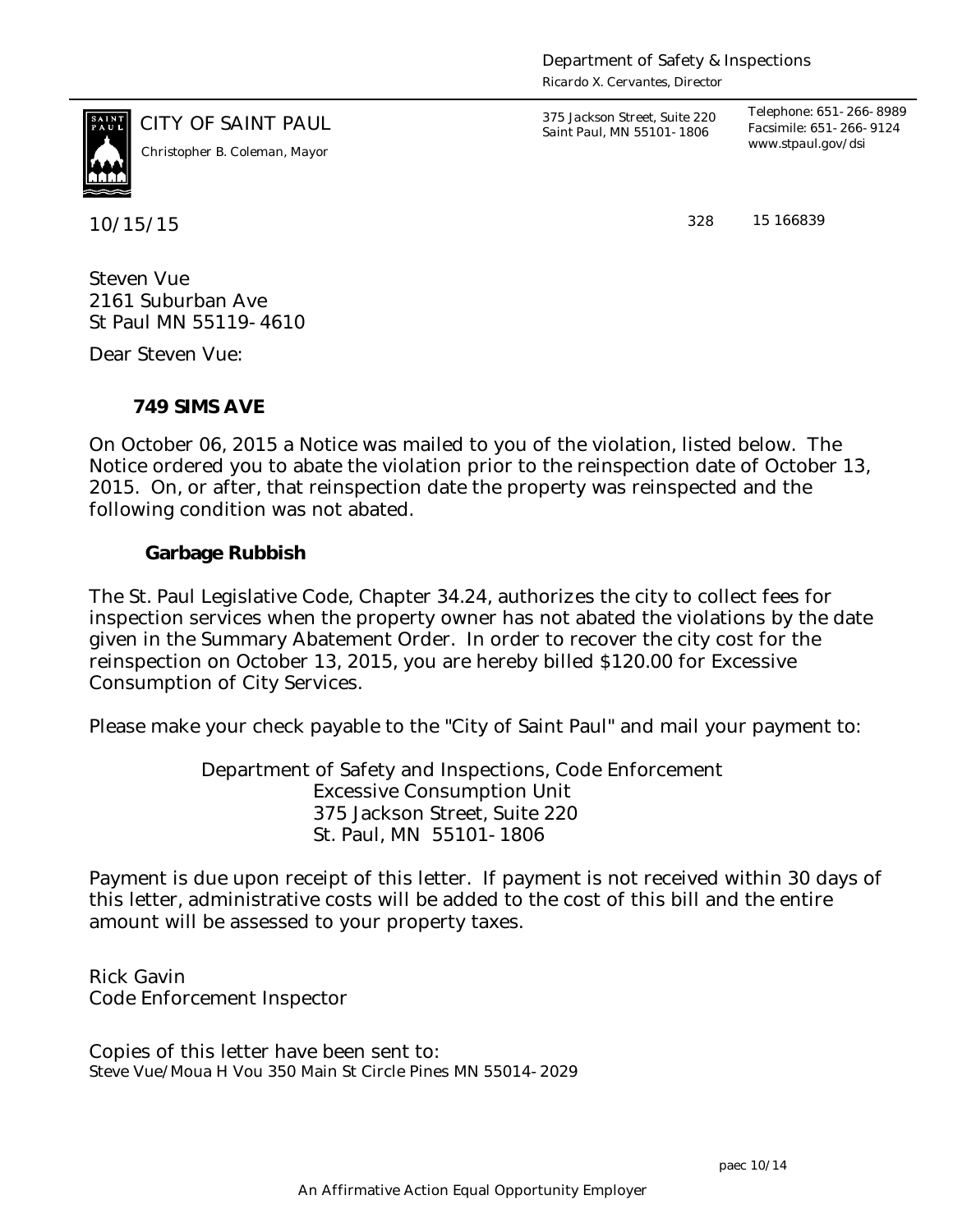Department of Safety & Inspections

*Ricardo X. Cervantes, Director*



10/15/15 328

CITY OF SAINT PAUL *375 Jackson Street, Suite 220 Saint Paul, MN 55101-1806 Telephone: 651-266-8989 Facsimile: 651-266-9124 www.stpaul.gov/dsi Christopher B. Coleman, Mayor*

15 166839

Steven Vue 2161 Suburban Ave St Paul MN 55119-4610

Dear Steven Vue:

**749 SIMS AVE**

On October 06, 2015 a Notice was mailed to you of the violation, listed below. The Notice ordered you to abate the violation prior to the reinspection date of October 13, 2015. On, or after, that reinspection date the property was reinspected and the following condition was not abated.

**Garbage Rubbish**

The St. Paul Legislative Code, Chapter 34.24, authorizes the city to collect fees for inspection services when the property owner has not abated the violations by the date given in the Summary Abatement Order. In order to recover the city cost for the reinspection on October 13, 2015, you are hereby billed \$120.00 for Excessive Consumption of City Services.

Please make your check payable to the "City of Saint Paul" and mail your payment to:

Department of Safety and Inspections, Code Enforcement Excessive Consumption Unit 375 Jackson Street, Suite 220 St. Paul, MN 55101-1806

Payment is due upon receipt of this letter. If payment is not received within 30 days of this letter, administrative costs will be added to the cost of this bill and the entire amount will be assessed to your property taxes.

Rick Gavin Code Enforcement Inspector

Copies of this letter have been sent to: Steve Vue/Moua H Vou 350 Main St Circle Pines MN 55014-2029